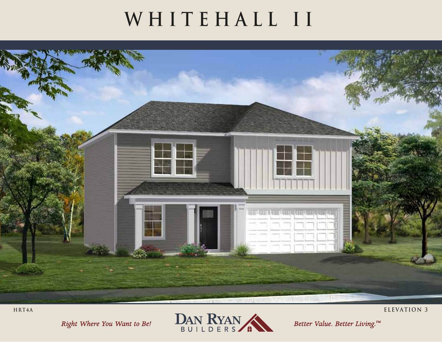## **WHITEHALL II**



Right Where You Want to Be!

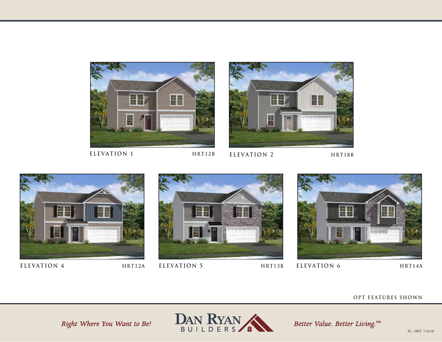



**ELEVATION 1 HRT12B**

- 
- **ELEVATION 2 HRT18B**









### **OPT FEATURES SHOWN**

Right Where You Want to Be!

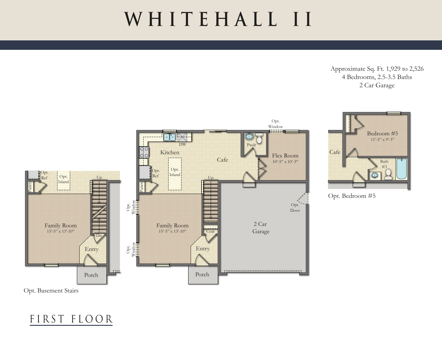## **WHITEHALL II**

Approximate Sq. Ft. 1,929 to 2,526 4 Bedrooms, 2.5-3.5 Baths 2 Car Garage





Opt. Bedroom #5

Opt. Basement Stairs

FIRST FLOOR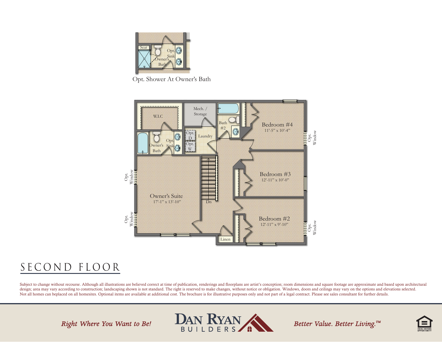

Opt. Shower At Owner's Bath



### SECOND FLOOR

Subject to change without recourse. Although all illustrations are believed correct at time of publication, renderings and floorplans are artist's conception; room dimensions and square footage are approximate and based up design; area may vary according to construction; landscaping shown is not standard. The right is reserved to make changes, without notice or obligation. Windows, doors and ceilings may vary on the options and elevations se

Right Where You Want to Be!